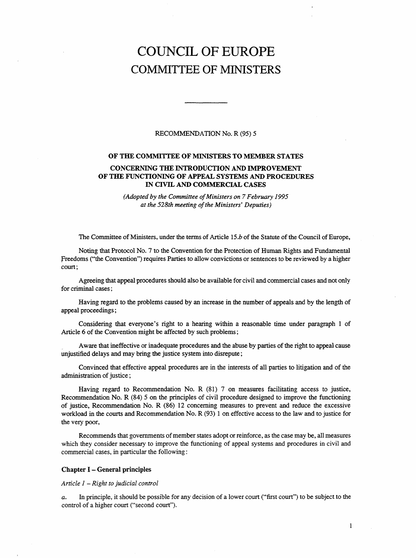# COUNCIL OF EUROPE COMMITTEE OF MINISTERS

#### RECOMMENDATION No. R (95) 5

#### OF THE COMMITTEE OF MINISTERS TO MEMBER STATES

## CONCERNING THE INTRODUCTION AND IMPROVEMENT OF THE FUNCTIONING OF APPEAL SYSTEMS AND PROCEDURES IN CIVIL AND COMMERCIAL CASES

(Adopted by the Committee of Ministers on 7 February 1995 at the 528th meeting of the Ministers' Deputies)

The Committee of Ministers, under the terms of Article 15.b of the Statute of the Council of Europe,

Noting that Protocol No. 7 to the Convention for the Protection of Human Rights and Fundamental Freedoms ("the Convention") requires Parties to allow convictions or sentences to be reviewed by a higher court;

Agreeing that appeal procedures should also be available for civil and commercial cases and not only for criminal cases;

Having regard to the problems caused by an increase in the number of appeals and by the length of appeal proceedings;

Considering that everyone's right to a hearing within a reasonable time under paragraph 1 of Article 6 of the Convention might be affected by such problems;

Aware that ineffective or inadequate procedures and the abuse by parties of the right to appeal cause unjustified delays and may bring the justice system into disrepute;

Convinced that effective appeal procedures are in the interests of all parties to litigation and of the administration of justice;

Having regard to Recommendation No. R (81) 7 on measures facilitating access to justice, Recommendation No. R (84) 5 on the principles of civil procedure designed to improve the functioning of justice, Recommendation No. R (86) 12 concerning measures to prevent and reduce the excessive workload in the courts and Recommendation No. R (93) 1 on effective access to the law and to justice for the very poor,

Recommends that governments of member states adopt or reinforce, as the case may be, all measures which they consider necessary to improve the functioning of appeal systems and procedures in civil and commercial cases, in particular the following:

#### Chapter I - General principles

Article 1 - Right to judicial control

a. In principle, it should be possible for any decision of a lower court ("first court") to be subject to the control of a higher court ("second court").

1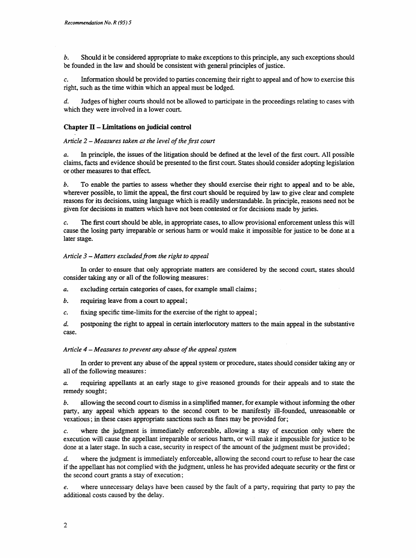b. Should it be considered appropriate to make exceptions to this principle, any such exceptions should be founded in the law and should be consistent with general principles of justice.

c. Information should be provided to parties concerning their right to appeal and of how to exercise this right, such as the time within which an appeal must be lodged.

d. Judges of higher courts should not be allowed to participate in the proceedings relating to cases with which they were involved in a lower court.

# Chapter II - Limitations on judicial control

## Article 2 - Measures taken at the level of the first court

a. In principle, the issues of the litigation should be defined at the level of the first court. All possible claims, facts and evidence should be presented to the first court. States should consider adopting legislation or other measures to that effect.

b. To enable the parties to assess whether they should exercise their right to appeal and to be able, wherever possible, to limit the appeal, the first court should be required by law to give clear and complete reasons for its decisions, using language which is readily understandable. In principle, reasons need not be given for decisions in matters which have not been contested or for decisions made by juries.

c. The first court should be able, in appropriate cases, to allow provisional enforcement unless this will cause the losing party irreparable or serious harm or would make it impossible for justice to be done at a later stage.

## Article  $3$  – Matters excluded from the right to appeal

In order to ensure that only appropriate matters are considered by the second court, states should consider taking any or all of the following measures:

- a. excluding certain categories of cases, for example small claims;
- b. requiring leave from a court to appeal;
- c. fixing specific time-limits for the exercise of the right to appeal;
- d. postponing the right to appeal in certain interlocutory matters to the main appeal in the substantive case.

## Article  $4$  – Measures to prevent any abuse of the appeal system

In order to prevent any abuse of the appeal system or procedure, states should consider taking any or all of the following measures:

a. requiring appellants at an early stage to give reasoned grounds for their appeals and to state the remedy sought;

b. allowing the second court to dismiss in a simplified manner, for example without informing the other party, any appeal which appears to the second court to be manifestly ill-founded, unreasonable or vexatious; in these cases appropriate sanctions such as fines may be provided for;

c. where the judgment is immediately enforceable, allowing a stay of execution only where the execution will cause the appellant irreparable or serious harm, or will make it impossible for justice to be done at a later stage. In such a case, security in respect of the amount of the judgment must be provided;

where the judgment is immediately enforceable, allowing the second court to refuse to hear the case if the appellant has not complied with the judgment, unless he has provided adequate security or the first or the second court grants a stay of execution;

e. where unnecessary delays have been caused by the fault of a party, requiring that party to pay the additional costs caused by the delay.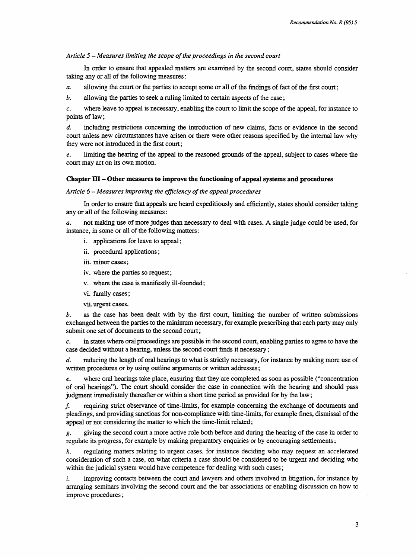## Article 5 - Measures limiting the scope of the proceedings in the second court

In order to ensure that appealed matters are examined by the second court, states should consider taking any or all of the following measures:

a. allowing the court or the parties to accept some or all of the findings of fact of the first court;

b. allowing the parties to seek a ruling limited to certain aspects of the case;

c. where leave to appeal is necessary, enabling the court to limit the scope of the appeal, for instance to points of law;

d. including restrictions concerning the introduction of new claims, facts or evidence in the second court unless new circumstances have arisen or there were other reasons specified by the internal law why they were not introduced in the first court;

e. limiting the hearing of the appeal to the reasoned grounds of the appeal, subject to cases where the court may act on its own motion.

## Chapter III - Other measures to improve the functioning of appeal systems and procedures

Article  $6$  – Measures improving the efficiency of the appeal procedures

In order to ensure that appeals are heard expeditiously and efficiently, states should consider taking any or all of the following measures:

a. not making use of more judges than necessary to deal with cases. A single judge could be used, for instance, in some or all of the following matters:

- i. applications for leave to appeal;
- ii. procedural applications;
- iii. minor cases;
- iv. where the parties so request;
- v. where the case is manifestly ill-founded;
- vi. family cases;
- vii. urgent cases.

b. as the case has been dealt with by the first court, limiting the number of written submissions exchanged between the parties to the minimum necessary, for example prescribing that each party may only submit one set of documents to the second court;

c. in states where oral proceedings are possible in the second court, enabling parties to agree to have the case decided without a hearing, unless the second court finds it necessary;

d. reducing the length of oral hearings to what is strictly necessary, for instance by making more use of written procedures or by using outline arguments or written addresses;

e. where oral hearings take place, ensuring that they are completed as soon as possible ("concentration of oral hearings"). The court should consider the case in connection with the hearing and should pass judgment immediately thereafter or within a short time period as provided for by the law;

f. requiring strict observance of time-limits, for example concerning the exchange of documents and pleadings, and providing sanctions for non-compliance with time-limits, for example fines, dismissal of the appeal or not considering the matter to which the time-limit related;

g. giving the second court a more active role both before and during the hearing of the case in order to regulate its progress, for example by making preparatory enquiries or by encouraging settlements;

h. regulating matters relating to urgent cases, for instance deciding who may request an accelerated consideration of such a case, on what criteria a case should be considered to be urgent and deciding who within the judicial system would have competence for dealing with such cases;

i. improving contacts between the court and lawyers and others involved in litigation, for instance by arranging seminars involving the second court and the bar associations or enabling discussion on how to improve procedures;